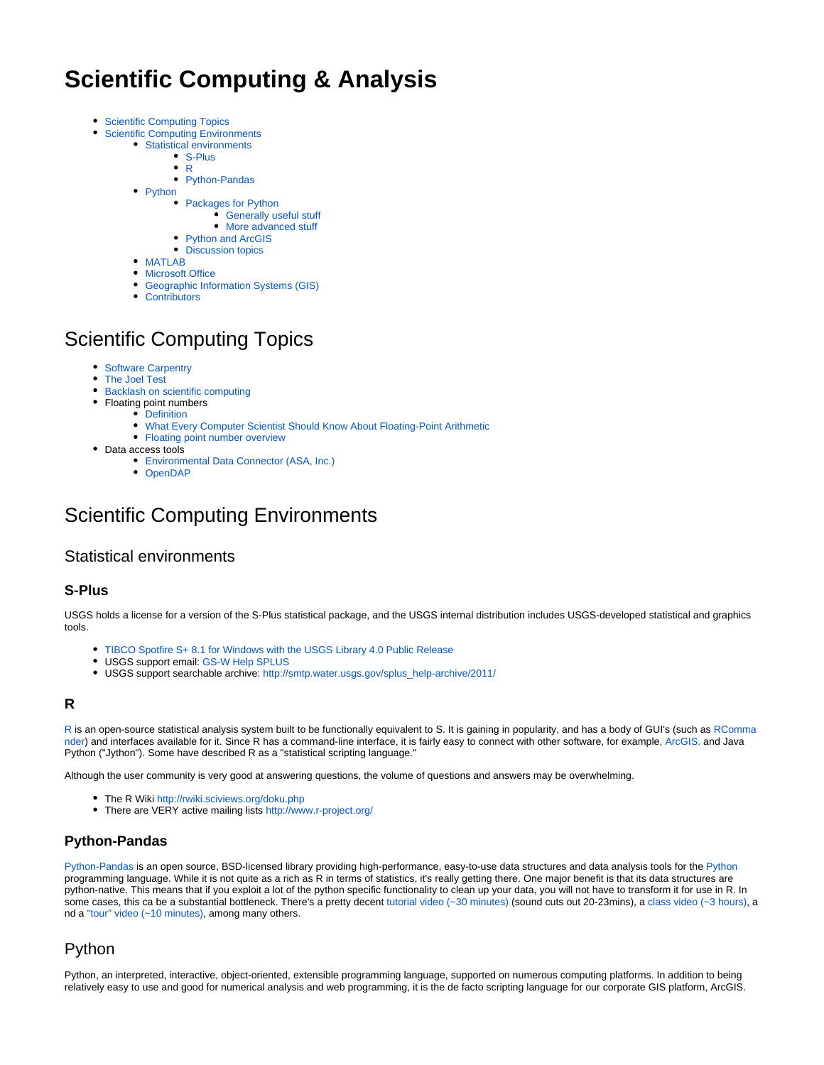# **Scientific Computing & Analysis**

- [Scientific Computing Topics](#page-0-0)  $\bullet$ 
	- [Scientific Computing Environments](#page-0-1)
		- [Statistical environments](#page-0-2)
			- [S-Plus](#page-0-3)
			- [R](#page-0-4)
			- [Python-Pandas](#page-0-5)
		- [Python](#page-0-6)
			- [Packages for Python](#page-1-0)
				- [Generally useful stuff](#page-1-1)
				- [More advanced stuff](#page-1-2)
			- [Python and ArcGIS](#page-1-3)
			- [Discussion topics](#page-2-0)
		- [MATLAB](#page-2-1) • [Microsoft Office](#page-2-2)
		- [Geographic Information Systems \(GIS\)](#page-2-3)
		- [Contributors](#page-2-4)

## <span id="page-0-0"></span>Scientific Computing Topics

- [Software Carpentry](http://software-carpentry.org/)
- [The Joel Test](http://www.joelonsoftware.com/articles/fog0000000043.html)
- $\bullet$ [Backlash on scientific computing](http://www.nature.com/news/2010/101013/full/467775a.html)
- Floating point numbers
	- [Definition](http://en.wikipedia.org/wiki/Floating_point)
		- [What Every Computer Scientist Should Know About Floating-Point Arithmetic](http://download.oracle.com/docs/cd/E19957-01/806-3568/ncg_goldberg.html)
		- [Floating point number overview](http://steve.hollasch.net/cgindex/coding/ieeefloat.html)
- Data access tools
	- [Environmental Data Connector \(ASA, Inc.\)](http://www.asascience.com/software/downloads/)
	- [OpenDAP](http://opendap.org/)

## <span id="page-0-1"></span>Scientific Computing Environments

### <span id="page-0-2"></span>Statistical environments

#### <span id="page-0-3"></span>**S-Plus**

USGS holds a license for a version of the S-Plus statistical package, and the USGS internal distribution includes USGS-developed statistical and graphics tools.

- [TIBCO Spotfire S+ 8.1 for Windows with the USGS Library 4.0 Public Release](http://bwtst.usgs.gov/apps/s-plus/81/)
- USGS support email: [GS-W Help SPLUS](mailto:gs-w_help_splus@usgs.gov)
- USGS support searchable archive: [http://smtp.water.usgs.gov/splus\\_help-archive/2011/](http://smtp.water.usgs.gov/splus_help-archive/2011/)

#### <span id="page-0-4"></span>**R**

[R](http://cran.r-project.org/) is an open-source statistical analysis system built to be functionally equivalent to S. It is gaining in popularity, and has a body of GUI's (such as [RComma](http://rcommander.com/) [nder](http://rcommander.com/)) and interfaces available for it. Since R has a command-line interface, it is fairly easy to connect with other software, for example, [ArcGIS.](http://help.arcgis.com/en/arcgisdesktop/10.0/help/index.html#//002w0000007w000000.htm) and Java Python ("Jython"). Some have described R as a "statistical scripting language."

Although the user community is very good at answering questions, the volume of questions and answers may be overwhelming.

- The R Wiki <http://rwiki.sciviews.org/doku.php>
- There are VERY active mailing lists <http://www.r-project.org/>

#### <span id="page-0-5"></span>**Python-Pandas**

[Python-Pandas](http://pandas.pydata.org) is an open source, BSD-licensed library providing high-performance, easy-to-use data structures and data analysis tools for the [Python](http://www.python.org) programming language. While it is not quite as a rich as R in terms of statistics, it's really getting there. One major benefit is that its data structures are python-native. This means that if you exploit a lot of the python specific functionality to clean up your data, you will not have to transform it for use in R. In some cases, this ca be a substantial bottleneck. There's a pretty decent [tutorial video \(~30 minutes\)](http://www.youtube.com/watch?v=qbYYamU42Sw) (sound cuts out 20-23mins), a [class video \(~3 hours\)](http://www.youtube.com/watch?v=w26x-z-BdWQ), a nd a ["tour" video \(~10 minutes\)](http://vimeo.com/59324550), among many others.

## <span id="page-0-6"></span>Python

Python, an interpreted, interactive, object-oriented, extensible programming language, supported on numerous computing platforms. In addition to being relatively easy to use and good for numerical analysis and web programming, it is the de facto scripting language for our corporate GIS platform, ArcGIS.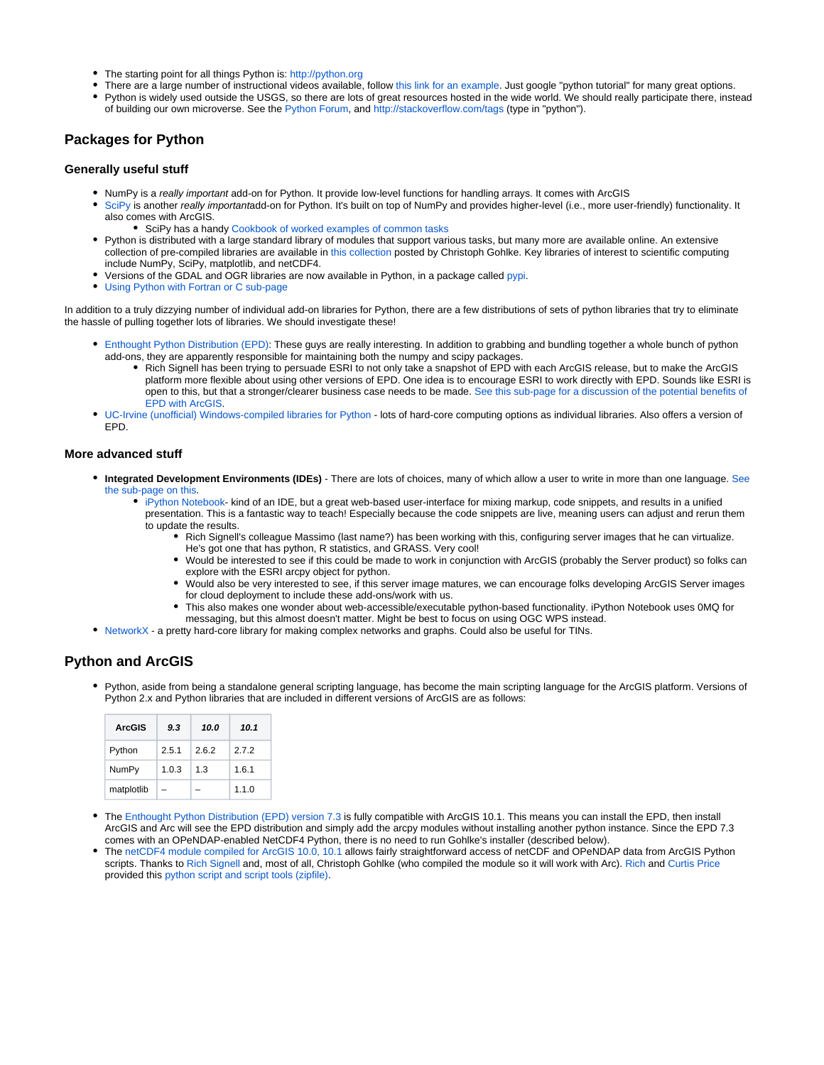- The starting point for all things Python is: <http://python.org>
- There are a large number of instructional videos available, follow [this link for an example](http://showmedo.com/videotutorials/python). Just google "python tutorial" for many great options.
- Python is widely used outside the USGS, so there are lots of great resources hosted in the wide world. We should really participate there, instead of building our own microverse. See the [Python Forum,](http://www.python-forum.org/pythonforum/index.php?sid=5e5278eee32b3e92b7d8c6705478bd60) and <http://stackoverflow.com/tags> (type in "python").

#### <span id="page-1-0"></span>**Packages for Python**

#### <span id="page-1-1"></span>**Generally useful stuff**

- NumPy is a really important add-on for Python. It provide low-level functions for handling arrays. It comes with ArcGIS
- [SciPy](http://www.scipy.org/SciPy) is another really importantadd-on for Python. It's built on top of NumPy and provides higher-level (i.e., more user-friendly) functionality. It also comes with ArcGIS.
	- **SciPy has a handy [Cookbook of worked examples of common tasks](http://www.scipy.org/Cookbook)**
- Python is distributed with a large standard library of modules that support various tasks, but many more are available online. An extensive collection of pre-compiled libraries are available in [this collection](http://www.lfd.uci.edu/%7Egohlke/pythonlibs/) posted by Christoph Gohlke. Key libraries of interest to scientific computing include NumPy, SciPy, matplotlib, and netCDF4.
- Versions of the GDAL and OGR libraries are now available in Python, in a package called [pypi.](http://pypi.python.org/pypi/GDAL/)
- [Using Python with Fortran or C sub-page](https://my.usgs.gov/confluence/display/cdi/Using+Python+with+Fortran+or+C)

In addition to a truly dizzying number of individual add-on libraries for Python, there are a few distributions of sets of python libraries that try to eliminate the hassle of pulling together lots of libraries. We should investigate these!

- [Enthought Python Distribution \(EPD\):](http://www.enthought.com/products/epd.php) These guys are really interesting. In addition to grabbing and bundling together a whole bunch of python add-ons, they are apparently responsible for maintaining both the numpy and scipy packages.
	- Rich Signell has been trying to persuade ESRI to not only take a snapshot of EPD with each ArcGIS release, but to make the ArcGIS platform more flexible about using other versions of EPD. One idea is to encourage ESRI to work directly with EPD. Sounds like ESRI is open to this, but that a stronger/clearer business case needs to be made. [See this sub-page for a discussion of the potential benefits of](https://my.usgs.gov/confluence/display/cdi/TSWG+-+Benefits+of+integrating+the+Enthought+Python+suite+with+ArcGIS)  [EPD with ArcGIS](https://my.usgs.gov/confluence/display/cdi/TSWG+-+Benefits+of+integrating+the+Enthought+Python+suite+with+ArcGIS).
- [UC-Irvine \(unofficial\) Windows-compiled libraries for Python](http://www.lfd.uci.edu/~gohlke/pythonlibs/)  lots of hard-core computing options as individual libraries. Also offers a version of EPD.

#### <span id="page-1-2"></span>**More advanced stuff**

- **Integrated Development Environments (IDEs)** There are lots of choices, many of which allow a user to write in more than one language. [See](https://my.usgs.gov/confluence/display/cdi/Integrated+Development+Environments+for+Python)  [the sub-page on this.](https://my.usgs.gov/confluence/display/cdi/Integrated+Development+Environments+for+Python)
	- $\bullet$  [iPython Notebook](http://ipython.org) kind of an IDE, but a great web-based user-interface for mixing markup, code snippets, and results in a unified presentation. This is a fantastic way to teach! Especially because the code snippets are live, meaning users can adjust and rerun them to update the results.
		- Rich Signell's colleague Massimo (last name?) has been working with this, configuring server images that he can virtualize. He's got one that has python, R statistics, and GRASS. Very cool!
		- Would be interested to see if this could be made to work in conjunction with ArcGIS (probably the Server product) so folks can explore with the ESRI arcpy object for python.
		- Would also be very interested to see, if this server image matures, we can encourage folks developing ArcGIS Server images for cloud deployment to include these add-ons/work with us.
		- This also makes one wonder about web-accessible/executable python-based functionality. iPython Notebook uses 0MQ for messaging, but this almost doesn't matter. Might be best to focus on using OGC WPS instead.
- [NetworkX](http://networkx.lanl.gov/)  a pretty hard-core library for making complex networks and graphs. Could also be useful for TINs.

#### <span id="page-1-3"></span>**Python and ArcGIS**

Python, aside from being a standalone general scripting language, has become the main scripting language for the ArcGIS platform. Versions of Python 2.x and Python libraries that are included in different versions of ArcGIS are as follows:

| <b>ArcGIS</b> | 9.3   | 10.0  | 10.1  |
|---------------|-------|-------|-------|
| Python        | 2.5.1 | 2.6.2 | 272   |
| NumPy         | 1.0.3 | 1.3   | 1.6.1 |
| matplotlib    |       |       | 1.1.0 |

- The [Enthought Python Distribution \(EPD\) version 7.3 i](http://www.enthought.com/products/epd.php)s fully compatible with ArcGIS 10.1. This means you can install the EPD, then install ArcGIS and Arc will see the EPD distribution and simply add the arcpy modules without installing another python instance. Since the EPD 7.3 comes with an OPeNDAP-enabled NetCDF4 Python, there is no need to run Gohlke's installer (described below).
- The [netCDF4 module compiled for ArcGIS 10.0, 10.1](http://www.lfd.uci.edu/~gohlke/pythonlibs/#netcdf4) allows fairly straightforward access of netCDF and OPeNDAP data from ArcGIS Python scripts. Thanks to Rich Signell and, most of all, Christoph Gohlke (who compiled the module so it will work with Arc). Rich and Curtis Price provided this [python script and script tools \(zipfile\).](https://my.usgs.gov/confluence/download/attachments/63832489/netcdf.zip?version=4&modificationDate=1315518647390&api=v2)